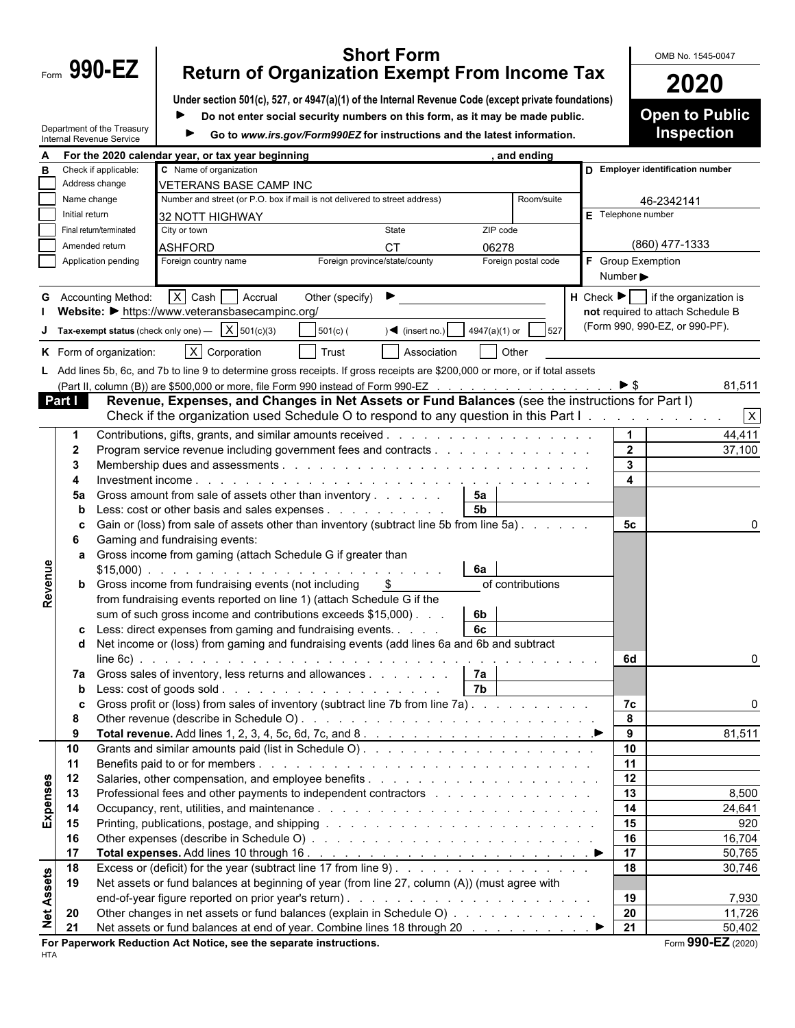| Form | $990 -$ |  |
|------|---------|--|
|      |         |  |

## **Form 990-EZ** Return of Organization Exempt From Income Tax **COMB No. 1545-0047 Return of Organization Exempt From Income Tax 2020**

|          |                | Under section 501(c), 527, or 4947(a)(1) of the Internal Revenue Code (except private foundations)                                                                                                                             |                                                                                                                                                          |                     |                              | ZUZU                                                   |  |
|----------|----------------|--------------------------------------------------------------------------------------------------------------------------------------------------------------------------------------------------------------------------------|----------------------------------------------------------------------------------------------------------------------------------------------------------|---------------------|------------------------------|--------------------------------------------------------|--|
|          |                |                                                                                                                                                                                                                                | Do not enter social security numbers on this form, as it may be made public.<br>Go to www.irs.gov/Form990EZ for instructions and the latest information. |                     |                              |                                                        |  |
|          |                | Department of the Treasury                                                                                                                                                                                                     |                                                                                                                                                          |                     |                              |                                                        |  |
|          |                | Internal Revenue Service                                                                                                                                                                                                       |                                                                                                                                                          |                     |                              |                                                        |  |
|          |                | For the 2020 calendar year, or tax year beginning                                                                                                                                                                              |                                                                                                                                                          | , and ending        |                              |                                                        |  |
| В        |                | C Name of organization<br>Check if applicable:                                                                                                                                                                                 |                                                                                                                                                          |                     |                              | D Employer identification number                       |  |
|          |                | Address change<br><b>VETERANS BASE CAMP INC</b>                                                                                                                                                                                |                                                                                                                                                          |                     |                              |                                                        |  |
|          | Name change    | Number and street (or P.O. box if mail is not delivered to street address)                                                                                                                                                     |                                                                                                                                                          | Room/suite          |                              | 46-2342141                                             |  |
|          | Initial return | 32 NOTT HIGHWAY                                                                                                                                                                                                                |                                                                                                                                                          |                     | $E$ Telephone number         |                                                        |  |
|          |                | State<br>Final return/terminated<br>City or town                                                                                                                                                                               | ZIP code                                                                                                                                                 |                     |                              |                                                        |  |
|          |                | Amended return<br><b>ASHFORD</b><br><b>CT</b>                                                                                                                                                                                  | 06278                                                                                                                                                    |                     |                              | (860) 477-1333                                         |  |
|          |                | Foreign country name<br>Foreign province/state/county<br>Application pending                                                                                                                                                   |                                                                                                                                                          | Foreign postal code | <b>F</b> Group Exemption     |                                                        |  |
|          |                |                                                                                                                                                                                                                                |                                                                                                                                                          |                     | Number $\blacktriangleright$ |                                                        |  |
|          |                | $X$ Cash $A$ Accrual<br>Other (specify) $\blacktriangleright$<br><b>G</b> Accounting Method:                                                                                                                                   |                                                                                                                                                          |                     |                              | $H$ Check $\blacktriangleright$ if the organization is |  |
|          |                | Website: • https://www.veteransbasecampinc.org/                                                                                                                                                                                |                                                                                                                                                          |                     |                              | not required to attach Schedule B                      |  |
|          |                | Tax-exempt status (check only one) $\overline{X}$ 501(c)(3)<br>$\sqrt{\bullet}$ (insert no.)<br>$501(c)$ (                                                                                                                     | 4947(a)(1) or                                                                                                                                            |                     |                              | (Form 990, 990-EZ, or 990-PF).                         |  |
|          |                | $\overline{X}$ Corporation<br>K Form of organization:<br>Trust<br>Association                                                                                                                                                  |                                                                                                                                                          | Other               |                              |                                                        |  |
|          |                | L Add lines 5b, 6c, and 7b to line 9 to determine gross receipts. If gross receipts are \$200,000 or more, or if total assets                                                                                                  |                                                                                                                                                          |                     |                              |                                                        |  |
|          |                | (Part II, column (B)) are \$500,000 or more, file Form 990 instead of Form 990-EZ                                                                                                                                              |                                                                                                                                                          |                     | $\blacktriangleright$ \$     | 81,511                                                 |  |
|          | Part I         | Revenue, Expenses, and Changes in Net Assets or Fund Balances (see the instructions for Part I)                                                                                                                                |                                                                                                                                                          |                     |                              |                                                        |  |
|          |                | Check if the organization used Schedule O to respond to any question in this Part I.                                                                                                                                           |                                                                                                                                                          |                     |                              | $\overline{x}$                                         |  |
|          |                |                                                                                                                                                                                                                                |                                                                                                                                                          |                     |                              |                                                        |  |
|          |                | Program service revenue including government fees and contracts                                                                                                                                                                |                                                                                                                                                          |                     | $\overline{2}$               | 44,411<br>37,100                                       |  |
|          | -2<br>-3       |                                                                                                                                                                                                                                |                                                                                                                                                          |                     | $\mathbf{3}$                 |                                                        |  |
|          |                |                                                                                                                                                                                                                                |                                                                                                                                                          |                     | $\overline{\mathbf{4}}$      |                                                        |  |
|          | 5a             | Gross amount from sale of assets other than inventory                                                                                                                                                                          | 5а                                                                                                                                                       |                     |                              |                                                        |  |
|          | b              | $\text{ess: cost}$ or other basis and sales expenses                                                                                                                                                                           | 5 <sub>b</sub>                                                                                                                                           |                     |                              |                                                        |  |
|          | c              | Gain or (loss) from sale of assets other than inventory (subtract line 5b from line 5a)                                                                                                                                        |                                                                                                                                                          |                     | 5c                           |                                                        |  |
|          | 6              | Gaming and fundraising events:                                                                                                                                                                                                 |                                                                                                                                                          |                     |                              |                                                        |  |
|          | a              | Gross income from gaming (attach Schedule G if greater than                                                                                                                                                                    |                                                                                                                                                          |                     |                              |                                                        |  |
|          |                |                                                                                                                                                                                                                                | 6a                                                                                                                                                       |                     |                              |                                                        |  |
| Revenue  |                | <b>b</b> Gross income from fundraising events (not including                                                                                                                                                                   |                                                                                                                                                          | of contributions    |                              |                                                        |  |
|          |                | from fundraising events reported on line 1) (attach Schedule G if the                                                                                                                                                          |                                                                                                                                                          |                     |                              |                                                        |  |
|          |                | sum of such gross income and contributions exceeds \$15,000).                                                                                                                                                                  | 6b                                                                                                                                                       |                     |                              |                                                        |  |
|          |                | c Less: direct expenses from gaming and fundraising events                                                                                                                                                                     | 6c                                                                                                                                                       |                     |                              |                                                        |  |
|          | d              | Net income or (loss) from gaming and fundraising events (add lines 6a and 6b and subtract                                                                                                                                      |                                                                                                                                                          |                     |                              |                                                        |  |
|          |                |                                                                                                                                                                                                                                |                                                                                                                                                          |                     | 6d                           | $\Omega$                                               |  |
|          | 7a             | Gross sales of inventory, less returns and allowances                                                                                                                                                                          | 7а                                                                                                                                                       |                     |                              |                                                        |  |
|          | b              |                                                                                                                                                                                                                                | 7b                                                                                                                                                       |                     |                              |                                                        |  |
|          | C              | Gross profit or (loss) from sales of inventory (subtract line 7b from line 7a)                                                                                                                                                 |                                                                                                                                                          |                     | 7c                           | $\Omega$                                               |  |
|          | -8             |                                                                                                                                                                                                                                |                                                                                                                                                          |                     | 8                            |                                                        |  |
|          | 9              |                                                                                                                                                                                                                                |                                                                                                                                                          |                     | 9                            | 81,511                                                 |  |
|          | 10             |                                                                                                                                                                                                                                |                                                                                                                                                          |                     | 10                           |                                                        |  |
|          | 11             |                                                                                                                                                                                                                                |                                                                                                                                                          |                     | 11                           |                                                        |  |
|          | 12             |                                                                                                                                                                                                                                |                                                                                                                                                          |                     | 12                           |                                                        |  |
| Expenses | 13             | Professional fees and other payments to independent contractors enters and all the same of the Professional fees and other payments to independent contractors and all the Professional feeds and the Professional feeds and t |                                                                                                                                                          |                     | 13                           | 8,500                                                  |  |
|          | 14             |                                                                                                                                                                                                                                |                                                                                                                                                          |                     | 14                           | 24,641                                                 |  |
|          | 15             |                                                                                                                                                                                                                                |                                                                                                                                                          |                     | 15                           | 920                                                    |  |
|          | 16             |                                                                                                                                                                                                                                |                                                                                                                                                          |                     | 16                           | 16,704                                                 |  |
|          | 17             |                                                                                                                                                                                                                                |                                                                                                                                                          |                     | 17                           | 50,765                                                 |  |
|          | 18             |                                                                                                                                                                                                                                |                                                                                                                                                          |                     | 18                           | 30,746                                                 |  |
| Assets   | 19             | Net assets or fund balances at beginning of year (from line 27, column (A)) (must agree with                                                                                                                                   |                                                                                                                                                          |                     |                              |                                                        |  |
|          |                |                                                                                                                                                                                                                                |                                                                                                                                                          |                     | 19                           | 7,930                                                  |  |
| đ        | 20             | Other changes in net assets or fund balances (explain in Schedule O)                                                                                                                                                           |                                                                                                                                                          |                     | 20                           | 11,726                                                 |  |
| Ž        | 21             |                                                                                                                                                                                                                                |                                                                                                                                                          |                     | 21                           | 50,402                                                 |  |
|          |                | For Paperwork Reduction Act Notice, see the separate instructions.                                                                                                                                                             |                                                                                                                                                          |                     |                              | Form 990-EZ (2020)                                     |  |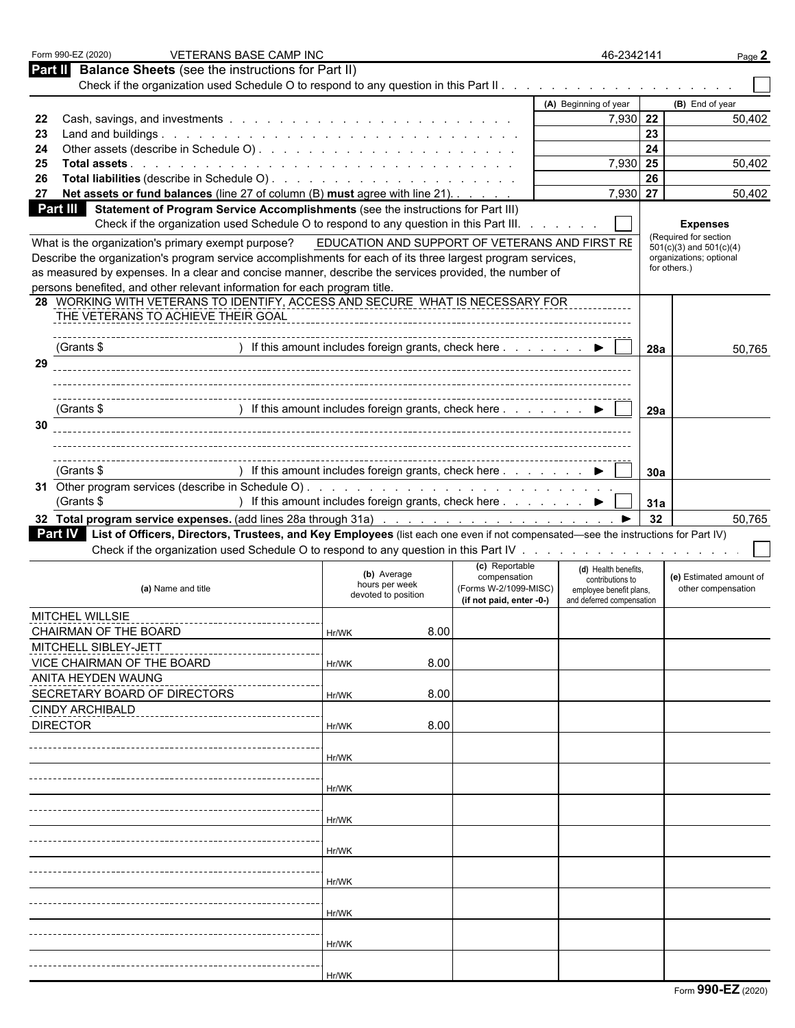|                                                                                                                                                  | <b>VETERANS BASE CAMP INC</b>                                                   |                          | 46-2342141                                           |     | Page 2                                               |
|--------------------------------------------------------------------------------------------------------------------------------------------------|---------------------------------------------------------------------------------|--------------------------|------------------------------------------------------|-----|------------------------------------------------------|
| <b>Balance Sheets</b> (see the instructions for Part II)<br>Part II                                                                              |                                                                                 |                          |                                                      |     |                                                      |
|                                                                                                                                                  |                                                                                 |                          |                                                      |     |                                                      |
|                                                                                                                                                  |                                                                                 |                          | (A) Beginning of year                                |     | (B) End of year                                      |
| 22<br>23                                                                                                                                         |                                                                                 |                          | 7,930 22                                             | 23  | 50,402                                               |
| 24                                                                                                                                               |                                                                                 |                          |                                                      | 24  |                                                      |
| 25                                                                                                                                               |                                                                                 |                          | 7,930 25                                             |     | 50,402                                               |
| 26                                                                                                                                               |                                                                                 |                          |                                                      | 26  |                                                      |
| Net assets or fund balances (line 27 of column (B) must agree with line 21).<br>27                                                               |                                                                                 |                          | 7,930 27                                             |     | 50,402                                               |
| <b>Part III</b><br>Statement of Program Service Accomplishments (see the instructions for Part III)                                              |                                                                                 |                          |                                                      |     |                                                      |
| Check if the organization used Schedule O to respond to any question in this Part III.                                                           |                                                                                 |                          |                                                      |     | <b>Expenses</b>                                      |
| What is the organization's primary exempt purpose?                                                                                               | EDUCATION AND SUPPORT OF VETERANS AND FIRST RE                                  |                          |                                                      |     | (Required for section<br>$501(c)(3)$ and $501(c)(4)$ |
| Describe the organization's program service accomplishments for each of its three largest program services,                                      |                                                                                 |                          |                                                      |     | organizations; optional                              |
| as measured by expenses. In a clear and concise manner, describe the services provided, the number of                                            |                                                                                 |                          |                                                      |     | for others.)                                         |
| persons benefited, and other relevant information for each program title.                                                                        |                                                                                 |                          |                                                      |     |                                                      |
| 28 WORKING WITH VETERANS TO IDENTIFY, ACCESS AND SECURE WHAT IS NECESSARY FOR                                                                    |                                                                                 |                          |                                                      |     |                                                      |
| THE VETERANS TO ACHIEVE THEIR GOAL                                                                                                               |                                                                                 |                          |                                                      |     |                                                      |
|                                                                                                                                                  |                                                                                 |                          |                                                      |     |                                                      |
| (Grants \$                                                                                                                                       | ) If this amount includes foreign grants, check here ▶                          |                          |                                                      | 28a | 50,765                                               |
| 29                                                                                                                                               |                                                                                 |                          |                                                      |     |                                                      |
|                                                                                                                                                  |                                                                                 |                          |                                                      |     |                                                      |
| (Grants \$                                                                                                                                       | ) If this amount includes foreign grants, check here $\ldots$ $\ldots$ $\ldots$ |                          |                                                      |     |                                                      |
| 30                                                                                                                                               |                                                                                 |                          |                                                      | 29a |                                                      |
|                                                                                                                                                  |                                                                                 |                          |                                                      |     |                                                      |
|                                                                                                                                                  |                                                                                 |                          |                                                      |     |                                                      |
| (Grants \$                                                                                                                                       | ) If this amount includes foreign grants, check here ▶                          |                          |                                                      | 30a |                                                      |
|                                                                                                                                                  |                                                                                 |                          |                                                      |     |                                                      |
|                                                                                                                                                  |                                                                                 |                          |                                                      |     |                                                      |
|                                                                                                                                                  |                                                                                 |                          |                                                      |     |                                                      |
| (Grants \$                                                                                                                                       | ) If this amount includes foreign grants, check here ▶                          |                          |                                                      | 31a |                                                      |
|                                                                                                                                                  |                                                                                 |                          |                                                      | 32  | 50,765                                               |
| <b>Part IV</b> List of Officers, Directors, Trustees, and Key Employees (list each one even if not compensated—see the instructions for Part IV) |                                                                                 |                          |                                                      |     |                                                      |
|                                                                                                                                                  |                                                                                 | (c) Reportable           |                                                      |     |                                                      |
|                                                                                                                                                  | (b) Average                                                                     | compensation             | (d) Health benefits.<br>contributions to             |     | (e) Estimated amount of                              |
| (a) Name and title                                                                                                                               | hours per week<br>devoted to position                                           | (Forms W-2/1099-MISC)    | employee benefit plans,<br>and deferred compensation |     | other compensation                                   |
| MITCHEL WILLSIE                                                                                                                                  |                                                                                 | (if not paid, enter -0-) |                                                      |     |                                                      |
|                                                                                                                                                  |                                                                                 |                          |                                                      |     |                                                      |
| CHAIRMAN OF THE BOARD                                                                                                                            | 8.00<br>Hr/WK                                                                   |                          |                                                      |     |                                                      |
| MITCHELL SIBLEY-JETT<br>VICE CHAIRMAN OF THE BOARD                                                                                               | 8.00<br>Hr/WK                                                                   |                          |                                                      |     |                                                      |
| ANITA HEYDEN WAUNG                                                                                                                               |                                                                                 |                          |                                                      |     |                                                      |
|                                                                                                                                                  | 8.00<br>Hr/WK                                                                   |                          |                                                      |     |                                                      |
| SECRETARY BOARD OF DIRECTORS<br><b>CINDY ARCHIBALD</b>                                                                                           |                                                                                 |                          |                                                      |     |                                                      |
| <b>DIRECTOR</b>                                                                                                                                  | 8.00<br>Hr/WK                                                                   |                          |                                                      |     |                                                      |
|                                                                                                                                                  |                                                                                 |                          |                                                      |     |                                                      |
|                                                                                                                                                  | Hr/WK                                                                           |                          |                                                      |     |                                                      |
|                                                                                                                                                  |                                                                                 |                          |                                                      |     |                                                      |
|                                                                                                                                                  | Hr/WK                                                                           |                          |                                                      |     |                                                      |
|                                                                                                                                                  |                                                                                 |                          |                                                      |     |                                                      |
|                                                                                                                                                  | Hr/WK                                                                           |                          |                                                      |     |                                                      |
|                                                                                                                                                  |                                                                                 |                          |                                                      |     |                                                      |
|                                                                                                                                                  | Hr/WK                                                                           |                          |                                                      |     |                                                      |
|                                                                                                                                                  |                                                                                 |                          |                                                      |     |                                                      |
|                                                                                                                                                  | Hr/WK                                                                           |                          |                                                      |     |                                                      |
|                                                                                                                                                  |                                                                                 |                          |                                                      |     |                                                      |
|                                                                                                                                                  | Hr/WK                                                                           |                          |                                                      |     |                                                      |
|                                                                                                                                                  |                                                                                 |                          |                                                      |     |                                                      |
|                                                                                                                                                  |                                                                                 |                          |                                                      |     |                                                      |
|                                                                                                                                                  | Hr/WK                                                                           |                          |                                                      |     |                                                      |
|                                                                                                                                                  | Hr/WK                                                                           |                          |                                                      |     |                                                      |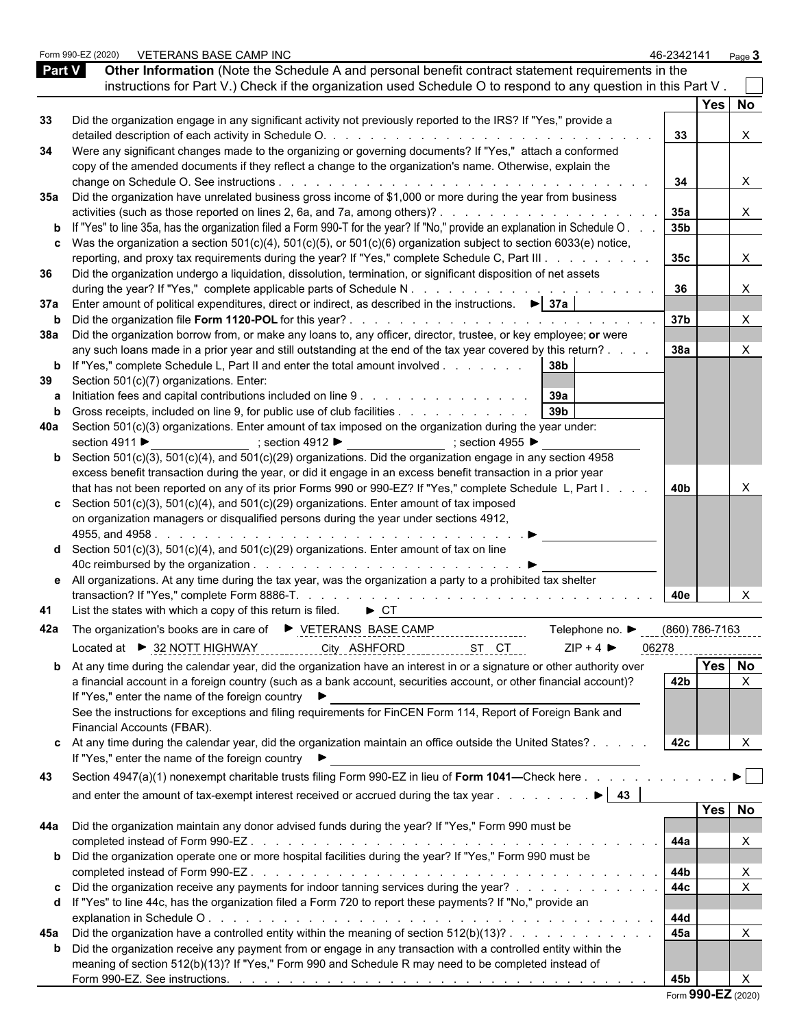|     | VETERANS BASE CAMP INC<br>Form 990-EZ (2020)                                                                                                                     |                                     | 46-2342141 |                | Page $3$                  |  |
|-----|------------------------------------------------------------------------------------------------------------------------------------------------------------------|-------------------------------------|------------|----------------|---------------------------|--|
|     | Other Information (Note the Schedule A and personal benefit contract statement requirements in the<br><b>Part V</b>                                              |                                     |            |                |                           |  |
|     | instructions for Part V.) Check if the organization used Schedule O to respond to any question in this Part V.                                                   |                                     |            |                |                           |  |
|     |                                                                                                                                                                  |                                     |            | Yes   No       |                           |  |
| 33  | Did the organization engage in any significant activity not previously reported to the IRS? If "Yes," provide a                                                  |                                     |            |                |                           |  |
|     |                                                                                                                                                                  |                                     | 33         |                | X                         |  |
| 34  | Were any significant changes made to the organizing or governing documents? If "Yes," attach a conformed                                                         |                                     |            |                |                           |  |
|     | copy of the amended documents if they reflect a change to the organization's name. Otherwise, explain the                                                        |                                     |            |                |                           |  |
|     |                                                                                                                                                                  |                                     | 34         |                | X                         |  |
|     | 35a Did the organization have unrelated business gross income of \$1,000 or more during the year from business                                                   |                                     |            |                |                           |  |
|     | activities (such as those reported on lines 2, 6a, and 7a, among others)?                                                                                        |                                     | 35a        |                | X.                        |  |
|     | <b>b</b> If "Yes" to line 35a, has the organization filed a Form 990-T for the year? If "No," provide an explanation in Schedule O.                              |                                     | 35b        |                |                           |  |
|     | c Was the organization a section $501(c)(4)$ , $501(c)(5)$ , or $501(c)(6)$ organization subject to section 6033(e) notice,                                      |                                     |            |                |                           |  |
|     | reporting, and proxy tax requirements during the year? If "Yes," complete Schedule C, Part III                                                                   |                                     | 35c        |                | X                         |  |
| 36  | Did the organization undergo a liquidation, dissolution, termination, or significant disposition of net assets                                                   |                                     |            |                |                           |  |
|     |                                                                                                                                                                  |                                     | 36         |                | $\boldsymbol{\mathsf{X}}$ |  |
| 37a | Enter amount of political expenditures, direct or indirect, as described in the instructions. $\blacktriangleright$ 37a                                          |                                     |            |                |                           |  |
| b   |                                                                                                                                                                  |                                     | 37b        |                | $\times$                  |  |
|     | 38a Did the organization borrow from, or make any loans to, any officer, director, trustee, or key employee; or were                                             |                                     |            |                |                           |  |
|     | any such loans made in a prior year and still outstanding at the end of the tax year covered by this return?.                                                    |                                     | 38a        |                | $\times$                  |  |
|     | <b>b</b> If "Yes," complete Schedule L, Part II and enter the total amount involved                                                                              | 38b                                 |            |                |                           |  |
| 39  | Section 501(c)(7) organizations. Enter:                                                                                                                          |                                     |            |                |                           |  |
| a   | Initiation fees and capital contributions included on line 9 39a<br>Gross receipts, included on line 9, for public use of club facilities                        | 39 <sub>b</sub>                     |            |                |                           |  |
| b   | 40a Section 501(c)(3) organizations. Enter amount of tax imposed on the organization during the year under:                                                      |                                     |            |                |                           |  |
|     | section 4911 ▶ _______________; section 4912 ▶ ________________; section 4955 ▶                                                                                  |                                     |            |                |                           |  |
|     | <b>b</b> Section 501(c)(3), 501(c)(4), and 501(c)(29) organizations. Did the organization engage in any section 4958                                             |                                     |            |                |                           |  |
|     | excess benefit transaction during the year, or did it engage in an excess benefit transaction in a prior year                                                    |                                     |            |                |                           |  |
|     | that has not been reported on any of its prior Forms 990 or 990-EZ? If "Yes," complete Schedule L, Part I.                                                       |                                     | 40b        |                |                           |  |
|     | c Section $501(c)(3)$ , $501(c)(4)$ , and $501(c)(29)$ organizations. Enter amount of tax imposed                                                                |                                     |            |                |                           |  |
|     | on organization managers or disqualified persons during the year under sections 4912,                                                                            |                                     |            |                |                           |  |
|     |                                                                                                                                                                  |                                     |            |                |                           |  |
|     | <b>d</b> Section $501(c)(3)$ , $501(c)(4)$ , and $501(c)(29)$ organizations. Enter amount of tax on line                                                         |                                     |            |                |                           |  |
|     |                                                                                                                                                                  |                                     |            |                |                           |  |
|     | e All organizations. At any time during the tax year, was the organization a party to a prohibited tax shelter                                                   |                                     |            |                |                           |  |
|     |                                                                                                                                                                  |                                     | 40e        |                | X                         |  |
|     | 41 List the states with which a copy of this return is filed. $\triangleright$ CT                                                                                |                                     |            |                |                           |  |
|     | 42a The organization's books are in care of ▶ VETERANS BASE CAMP                                                                                                 | Telephone no. ▶                     |            | (860) 786-7163 |                           |  |
|     |                                                                                                                                                                  | $ZIP + 4$                           |            |                |                           |  |
|     | Located at ▶ 32 NOTT HIGHWAY<br>City ASHFORD                                                                                                                     | 06278<br>______ <u>____ST</u> __CT_ |            | -------------- |                           |  |
|     | <b>b</b> At any time during the calendar year, did the organization have an interest in or a signature or other authority over                                   |                                     |            | Yes No         |                           |  |
|     | a financial account in a foreign country (such as a bank account, securities account, or other financial account)?                                               |                                     | 42b        |                | X                         |  |
|     | If "Yes," enter the name of the foreign country ▶<br>See the instructions for exceptions and filing requirements for FinCEN Form 114, Report of Foreign Bank and |                                     |            |                |                           |  |
|     | Financial Accounts (FBAR).                                                                                                                                       |                                     |            |                |                           |  |
|     | c At any time during the calendar year, did the organization maintain an office outside the United States?                                                       |                                     | 42c        |                |                           |  |
|     | If "Yes," enter the name of the foreign country ▶                                                                                                                |                                     |            |                |                           |  |
|     |                                                                                                                                                                  |                                     |            |                |                           |  |
| 43  | Section 4947(a)(1) nonexempt charitable trusts filing Form 990-EZ in lieu of Form 1041—Check here                                                                |                                     |            |                |                           |  |
|     | and enter the amount of tax-exempt interest received or accrued during the tax year                                                                              | $\blacktriangleright$ 43            |            |                |                           |  |
|     |                                                                                                                                                                  |                                     |            | Yes No         |                           |  |
| 44a | Did the organization maintain any donor advised funds during the year? If "Yes," Form 990 must be                                                                |                                     |            |                |                           |  |
|     |                                                                                                                                                                  |                                     | 44a        |                | $\times$                  |  |
|     | <b>b</b> Did the organization operate one or more hospital facilities during the year? If "Yes," Form 990 must be                                                |                                     |            |                |                           |  |
|     |                                                                                                                                                                  |                                     | 44b        |                | X                         |  |
| C   | Did the organization receive any payments for indoor tanning services during the year?                                                                           |                                     | 44c        |                | $\pmb{\times}$            |  |
|     | d If "Yes" to line 44c, has the organization filed a Form 720 to report these payments? If "No," provide an                                                      |                                     |            |                |                           |  |
|     |                                                                                                                                                                  |                                     | 44d        |                |                           |  |
| 45а | Did the organization have a controlled entity within the meaning of section $512(b)(13)? \ldots \ldots \ldots \ldots$                                            |                                     | 45a        |                | X                         |  |
|     | b Did the organization receive any payment from or engage in any transaction with a controlled entity within the                                                 |                                     |            |                |                           |  |
|     | meaning of section 512(b)(13)? If "Yes," Form 990 and Schedule R may need to be completed instead of                                                             |                                     |            |                |                           |  |
|     |                                                                                                                                                                  |                                     | 45b        |                |                           |  |

|  |  | Form 990-EZ (2020) |  |  |
|--|--|--------------------|--|--|
|--|--|--------------------|--|--|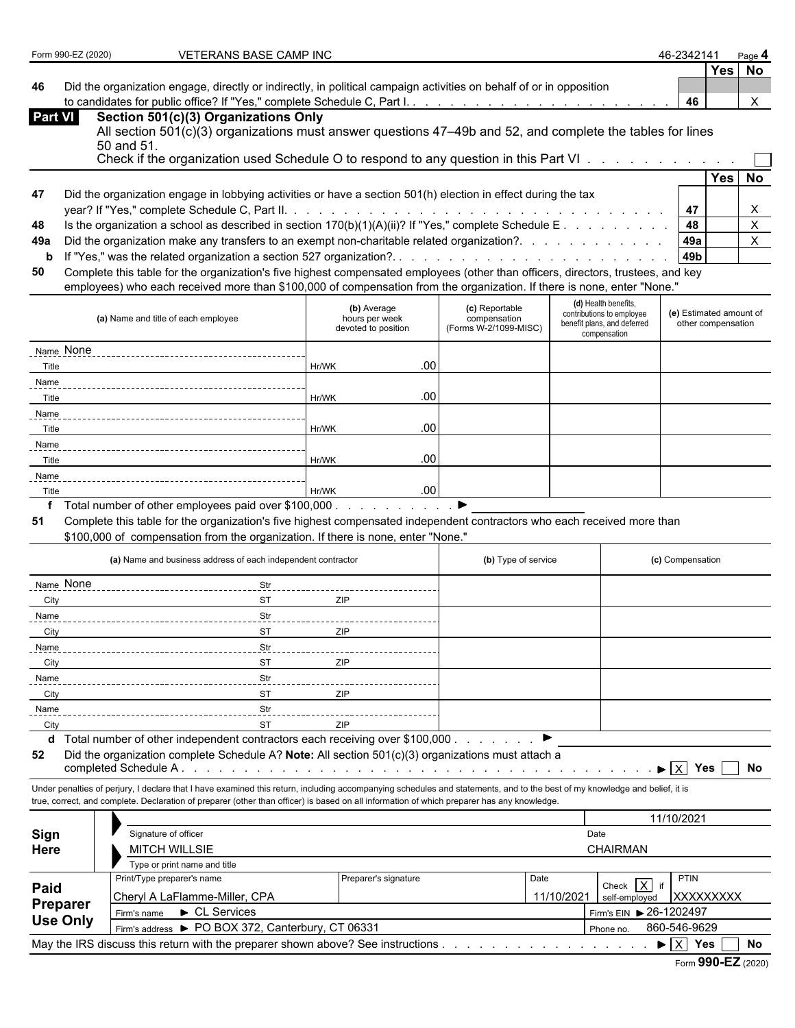|  | Form 990-EZ (2020) |  |
|--|--------------------|--|
|--|--------------------|--|

**FOR 990-EX (2020) VETERANS BASE CAMP INC 46-2342141** Page 12020 46-2342141

**Yes No**

**46** Did the organization engage, directly or indirectly, in political campaign activities on behalf of or in opposition to candidates for public office? If "Yes," complete Schedule C, Part I. . . . . . . . . . . . . . . . . . . . . . . . . . . . . . . . . . . . . . . . . . . . **46** X

| Part VI I | Section 501(c)(3) Organizations Only            |
|-----------|-------------------------------------------------|
|           | All section 501(c)(3) organizations must answer |

 $(c)(3)$  organizations must answer questions 47–49b and 52, and complete the tables for lines 50 and 51. Check if the organization used Schedule  $\Omega$  to respond to any question in this Part VI

|     | Crieck if the organization used Scriedule O to respond to any question in this Part VI 1                                         |       |       |      |
|-----|----------------------------------------------------------------------------------------------------------------------------------|-------|-------|------|
|     |                                                                                                                                  |       | Yes I | . No |
| 47  | Did the organization engage in lobbying activities or have a section 501(h) election in effect during the tax                    |       |       |      |
|     |                                                                                                                                  |       |       |      |
| 48  |                                                                                                                                  | -48   |       |      |
| 49а |                                                                                                                                  | l 49a |       |      |
|     |                                                                                                                                  | l 49b |       |      |
| 50  | Complete this table for the organization's five highest compensated employees (other than officers, directors, trustees, and key |       |       |      |

employees) who each received more than \$100,000 of compensation from the organization. If there is none, enter "None."

| (a) Name and title of each employee                                                                                                                                                                                                                                                                                                                                         | (b) Average<br>hours per week<br>devoted to position | (c) Reportable<br>compensation<br>(Forms W-2/1099-MISC) | (d) Health benefits,<br>contributions to employee<br>benefit plans, and deferred<br>compensation | (e) Estimated amount of<br>other compensation |
|-----------------------------------------------------------------------------------------------------------------------------------------------------------------------------------------------------------------------------------------------------------------------------------------------------------------------------------------------------------------------------|------------------------------------------------------|---------------------------------------------------------|--------------------------------------------------------------------------------------------------|-----------------------------------------------|
| Name None                                                                                                                                                                                                                                                                                                                                                                   |                                                      |                                                         |                                                                                                  |                                               |
| Title                                                                                                                                                                                                                                                                                                                                                                       | .00.<br>Hr/WK                                        |                                                         |                                                                                                  |                                               |
| Name                                                                                                                                                                                                                                                                                                                                                                        |                                                      |                                                         |                                                                                                  |                                               |
| Title                                                                                                                                                                                                                                                                                                                                                                       | .00.<br>Hr/WK                                        |                                                         |                                                                                                  |                                               |
| Name                                                                                                                                                                                                                                                                                                                                                                        |                                                      |                                                         |                                                                                                  |                                               |
| Title                                                                                                                                                                                                                                                                                                                                                                       | .00<br>Hr/WK                                         |                                                         |                                                                                                  |                                               |
| Name                                                                                                                                                                                                                                                                                                                                                                        |                                                      |                                                         |                                                                                                  |                                               |
| Title                                                                                                                                                                                                                                                                                                                                                                       | .00 <sub>1</sub><br>Hr/WK                            |                                                         |                                                                                                  |                                               |
| Name                                                                                                                                                                                                                                                                                                                                                                        |                                                      |                                                         |                                                                                                  |                                               |
| Title                                                                                                                                                                                                                                                                                                                                                                       | .00.<br>Hr/WK                                        |                                                         |                                                                                                  |                                               |
| $\mathbf{f} = \mathbf{T}$ , $\mathbf{f} = \mathbf{f}$ , $\mathbf{f} = \mathbf{f}$ , $\mathbf{f} = \mathbf{f}$ , $\mathbf{f} = \mathbf{f}$ , $\mathbf{f} = \mathbf{f}$ , $\mathbf{f} = \mathbf{f}$ , $\mathbf{f} = \mathbf{f}$ , $\mathbf{f} = \mathbf{f}$ , $\mathbf{f} = \mathbf{f}$ , $\mathbf{f} = \mathbf{f}$ , $\mathbf{f} = \mathbf{f}$ , $\mathbf{f} = \mathbf{f}$ , |                                                      |                                                         |                                                                                                  |                                               |

**f** Total number of other employees paid over \$100,000 . . . . . . . . . . .

**51** Complete this table for the organization's five highest compensated independent contractors who each received more than

\$100,000 of compensation from the organization. If there is none, enter "None."

|           | (a) Name and business address of each independent contractor                                                                    | (b) Type of service | (c) Compensation |
|-----------|---------------------------------------------------------------------------------------------------------------------------------|---------------------|------------------|
| Name None | Str                                                                                                                             |                     |                  |
| City      | <b>ST</b><br>ZIP                                                                                                                |                     |                  |
| Name      | Str                                                                                                                             |                     |                  |
| City      | ZIP<br><b>ST</b>                                                                                                                |                     |                  |
| Name      | Str                                                                                                                             |                     |                  |
| City      | ZIP<br><b>ST</b>                                                                                                                |                     |                  |
| Name      | Str                                                                                                                             |                     |                  |
| City      | ZIP<br><b>ST</b>                                                                                                                |                     |                  |
| Name      | Str                                                                                                                             |                     |                  |
| City      | ZIP<br>ST                                                                                                                       |                     |                  |
|           | $\mathbf{H}$ . This beams the set of the contract contract contract the set of the contract of $\mathbf{A}$ 00.000 $\mathbf{A}$ |                     |                  |

**d** Total number of other independent contractors each receiving over \$100,000 . . . . . . . .

**52** Did the organization complete Schedule A? **Note:** All section 501(c)(3) organizations must attach a completed Schedule A . . . . . . . . . . . . . . . . . . . . . . . . . . . . . . . . . . . . . . . . . . . . . . X **Yes No**

Under penalties of perjury, I declare that I have examined this return, including accompanying schedules and statements, and to the best of my knowledge and belief, it is true, correct, and complete. Declaration of preparer (other than officer) is based on all information of which preparer has any knowledge.

|                 |                      |                                                                                 |                      |                 |                           | 11/10/2021 |  |  |
|-----------------|----------------------|---------------------------------------------------------------------------------|----------------------|-----------------|---------------------------|------------|--|--|
| Sign            |                      | Signature of officer                                                            |                      | Date            |                           |            |  |  |
| Here            | <b>MITCH WILLSIE</b> |                                                                                 |                      | <b>CHAIRMAN</b> |                           |            |  |  |
|                 |                      | Type or print name and title                                                    |                      |                 |                           |            |  |  |
| Paid            |                      | Print/Type preparer's name                                                      | Preparer's signature | Date            | Check X if                | PTIN       |  |  |
|                 |                      | Cheryl A LaFlamme-Miller, CPA                                                   |                      | 11/10/2021      | self-employed             | XXXXXXXXX  |  |  |
| Preparer        |                      | $\blacktriangleright$ CL Services<br>Firm's name                                |                      |                 | Firm's EIN > 26-1202497   |            |  |  |
| <b>Use Only</b> |                      | Firm's address > PO BOX 372, Canterbury, CT 06331                               |                      |                 | 860-546-9629<br>Phone no. |            |  |  |
|                 |                      | May the IRS discuss this return with the preparer shown above? See instructions |                      |                 |                           | No<br>Yes  |  |  |
|                 |                      |                                                                                 |                      |                 |                           |            |  |  |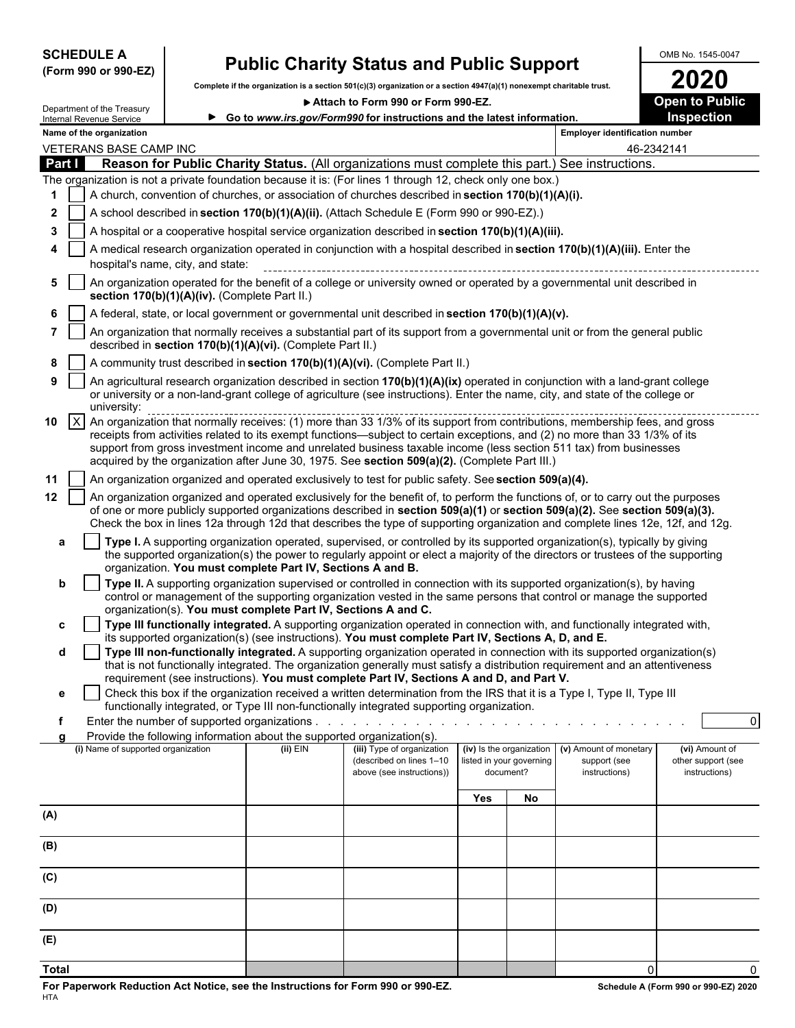### **(Form 990 or 990-EZ)**

# SCHEDULE A **Public Charity Status and Public Support** OMB No. 1545-0047<br>(Form 990 or 990-EZ) Complete if the creatization is a section 501/cV3) expanitation or a section 4947/aV4) persection 4947/aV4) and contract the tria

Complete if the organization is a section 501(c)(3) organization or a section 4947(a)(1) nonexempt charitable trust.<br> **2020** ● 2016 Attach to Form 990 or Form 990-EZ.

▶ Attach to Form 990 or Form 990-EZ.

**Go to** *www.irs.gov/Form990* **for instructions and the latest information. Inspection**

|              |                                                                                                      | Department of the Treasury<br>Internal Revenue Service                                                                                                                     |                                   |                                                                                           | Go to www.irs.gov/Form990 for instructions and the latest information.                                                                                                                                                                                                                                                                                                                                                                                                           |                          |                                       |                                       | Inspection                          |  |  |  |  |
|--------------|------------------------------------------------------------------------------------------------------|----------------------------------------------------------------------------------------------------------------------------------------------------------------------------|-----------------------------------|-------------------------------------------------------------------------------------------|----------------------------------------------------------------------------------------------------------------------------------------------------------------------------------------------------------------------------------------------------------------------------------------------------------------------------------------------------------------------------------------------------------------------------------------------------------------------------------|--------------------------|---------------------------------------|---------------------------------------|-------------------------------------|--|--|--|--|
|              |                                                                                                      | Name of the organization                                                                                                                                                   |                                   |                                                                                           |                                                                                                                                                                                                                                                                                                                                                                                                                                                                                  |                          |                                       | <b>Employer identification number</b> |                                     |  |  |  |  |
|              |                                                                                                      | VETERANS BASE CAMP INC                                                                                                                                                     |                                   |                                                                                           |                                                                                                                                                                                                                                                                                                                                                                                                                                                                                  |                          |                                       | 46-2342141                            |                                     |  |  |  |  |
| Part I       |                                                                                                      |                                                                                                                                                                            |                                   |                                                                                           | Reason for Public Charity Status. (All organizations must complete this part.) See instructions.                                                                                                                                                                                                                                                                                                                                                                                 |                          |                                       |                                       |                                     |  |  |  |  |
|              |                                                                                                      | The organization is not a private foundation because it is: (For lines 1 through 12, check only one box.)                                                                  |                                   |                                                                                           |                                                                                                                                                                                                                                                                                                                                                                                                                                                                                  |                          |                                       |                                       |                                     |  |  |  |  |
| 1            | A church, convention of churches, or association of churches described in section 170(b)(1)(A)(i).   |                                                                                                                                                                            |                                   |                                                                                           |                                                                                                                                                                                                                                                                                                                                                                                                                                                                                  |                          |                                       |                                       |                                     |  |  |  |  |
| 2            |                                                                                                      |                                                                                                                                                                            |                                   | A school described in section 170(b)(1)(A)(ii). (Attach Schedule E (Form 990 or 990-EZ).) |                                                                                                                                                                                                                                                                                                                                                                                                                                                                                  |                          |                                       |                                       |                                     |  |  |  |  |
| 3            | A hospital or a cooperative hospital service organization described in section $170(b)(1)(A)(iii)$ . |                                                                                                                                                                            |                                   |                                                                                           |                                                                                                                                                                                                                                                                                                                                                                                                                                                                                  |                          |                                       |                                       |                                     |  |  |  |  |
|              |                                                                                                      |                                                                                                                                                                            | hospital's name, city, and state: |                                                                                           | A medical research organization operated in conjunction with a hospital described in section 170(b)(1)(A)(iii). Enter the                                                                                                                                                                                                                                                                                                                                                        |                          |                                       |                                       |                                     |  |  |  |  |
| 5            |                                                                                                      | An organization operated for the benefit of a college or university owned or operated by a governmental unit described in<br>section 170(b)(1)(A)(iv). (Complete Part II.) |                                   |                                                                                           |                                                                                                                                                                                                                                                                                                                                                                                                                                                                                  |                          |                                       |                                       |                                     |  |  |  |  |
|              |                                                                                                      |                                                                                                                                                                            |                                   |                                                                                           | A federal, state, or local government or governmental unit described in section 170(b)(1)(A)(v).                                                                                                                                                                                                                                                                                                                                                                                 |                          |                                       |                                       |                                     |  |  |  |  |
|              |                                                                                                      |                                                                                                                                                                            |                                   | described in section 170(b)(1)(A)(vi). (Complete Part II.)                                | An organization that normally receives a substantial part of its support from a governmental unit or from the general public                                                                                                                                                                                                                                                                                                                                                     |                          |                                       |                                       |                                     |  |  |  |  |
| 8            |                                                                                                      |                                                                                                                                                                            |                                   |                                                                                           | A community trust described in section 170(b)(1)(A)(vi). (Complete Part II.)                                                                                                                                                                                                                                                                                                                                                                                                     |                          |                                       |                                       |                                     |  |  |  |  |
| 9            |                                                                                                      | university:                                                                                                                                                                |                                   |                                                                                           | An agricultural research organization described in section 170(b)(1)(A)(ix) operated in conjunction with a land-grant college<br>or university or a non-land-grant college of agriculture (see instructions). Enter the name, city, and state of the college or                                                                                                                                                                                                                  |                          |                                       |                                       |                                     |  |  |  |  |
| 10           | $\vert x \vert$                                                                                      |                                                                                                                                                                            |                                   |                                                                                           | An organization that normally receives: (1) more than 33 1/3% of its support from contributions, membership fees, and gross<br>receipts from activities related to its exempt functions—subject to certain exceptions, and (2) no more than 33 1/3% of its<br>support from gross investment income and unrelated business taxable income (less section 511 tax) from businesses<br>acquired by the organization after June 30, 1975. See section 509(a)(2). (Complete Part III.) |                          |                                       |                                       |                                     |  |  |  |  |
| 11           |                                                                                                      |                                                                                                                                                                            |                                   |                                                                                           | An organization organized and operated exclusively to test for public safety. See section 509(a)(4).                                                                                                                                                                                                                                                                                                                                                                             |                          |                                       |                                       |                                     |  |  |  |  |
| $12 \,$      |                                                                                                      |                                                                                                                                                                            |                                   |                                                                                           | An organization organized and operated exclusively for the benefit of, to perform the functions of, or to carry out the purposes<br>of one or more publicly supported organizations described in section 509(a)(1) or section 509(a)(2). See section 509(a)(3).<br>Check the box in lines 12a through 12d that describes the type of supporting organization and complete lines 12e, 12f, and 12g.                                                                               |                          |                                       |                                       |                                     |  |  |  |  |
| a            |                                                                                                      |                                                                                                                                                                            |                                   | organization. You must complete Part IV, Sections A and B.                                | Type I. A supporting organization operated, supervised, or controlled by its supported organization(s), typically by giving<br>the supported organization(s) the power to regularly appoint or elect a majority of the directors or trustees of the supporting                                                                                                                                                                                                                   |                          |                                       |                                       |                                     |  |  |  |  |
| b            |                                                                                                      |                                                                                                                                                                            |                                   |                                                                                           | Type II. A supporting organization supervised or controlled in connection with its supported organization(s), by having<br>control or management of the supporting organization vested in the same persons that control or manage the supported                                                                                                                                                                                                                                  |                          |                                       |                                       |                                     |  |  |  |  |
| c            |                                                                                                      |                                                                                                                                                                            |                                   | organization(s). You must complete Part IV, Sections A and C.                             | Type III functionally integrated. A supporting organization operated in connection with, and functionally integrated with,                                                                                                                                                                                                                                                                                                                                                       |                          |                                       |                                       |                                     |  |  |  |  |
|              |                                                                                                      |                                                                                                                                                                            |                                   |                                                                                           | its supported organization(s) (see instructions). You must complete Part IV, Sections A, D, and E.                                                                                                                                                                                                                                                                                                                                                                               |                          |                                       |                                       |                                     |  |  |  |  |
| d            |                                                                                                      |                                                                                                                                                                            |                                   |                                                                                           | Type III non-functionally integrated. A supporting organization operated in connection with its supported organization(s)<br>that is not functionally integrated. The organization generally must satisfy a distribution requirement and an attentiveness<br>requirement (see instructions). You must complete Part IV, Sections A and D, and Part V.                                                                                                                            |                          |                                       |                                       |                                     |  |  |  |  |
| е            |                                                                                                      |                                                                                                                                                                            |                                   |                                                                                           | Check this box if the organization received a written determination from the IRS that it is a Type I, Type II, Type III<br>functionally integrated, or Type III non-functionally integrated supporting organization.                                                                                                                                                                                                                                                             |                          |                                       |                                       |                                     |  |  |  |  |
| f            |                                                                                                      |                                                                                                                                                                            |                                   | Provide the following information about the supported organization(s).                    |                                                                                                                                                                                                                                                                                                                                                                                                                                                                                  |                          |                                       |                                       | $\mathbf 0$                         |  |  |  |  |
|              |                                                                                                      | (i) Name of supported organization                                                                                                                                         |                                   | (ii) EIN                                                                                  | (iii) Type of organization                                                                                                                                                                                                                                                                                                                                                                                                                                                       | (iv) Is the organization |                                       | (v) Amount of monetary                | (vi) Amount of                      |  |  |  |  |
|              |                                                                                                      |                                                                                                                                                                            |                                   |                                                                                           | (described on lines 1-10<br>above (see instructions))                                                                                                                                                                                                                                                                                                                                                                                                                            |                          | listed in your governing<br>document? | support (see<br>instructions)         | other support (see<br>instructions) |  |  |  |  |
|              |                                                                                                      |                                                                                                                                                                            |                                   |                                                                                           |                                                                                                                                                                                                                                                                                                                                                                                                                                                                                  | Yes                      | No                                    |                                       |                                     |  |  |  |  |
| (A)          |                                                                                                      |                                                                                                                                                                            |                                   |                                                                                           |                                                                                                                                                                                                                                                                                                                                                                                                                                                                                  |                          |                                       |                                       |                                     |  |  |  |  |
| (B)          |                                                                                                      |                                                                                                                                                                            |                                   |                                                                                           |                                                                                                                                                                                                                                                                                                                                                                                                                                                                                  |                          |                                       |                                       |                                     |  |  |  |  |
| (C)          |                                                                                                      |                                                                                                                                                                            |                                   |                                                                                           |                                                                                                                                                                                                                                                                                                                                                                                                                                                                                  |                          |                                       |                                       |                                     |  |  |  |  |
| (D)          |                                                                                                      |                                                                                                                                                                            |                                   |                                                                                           |                                                                                                                                                                                                                                                                                                                                                                                                                                                                                  |                          |                                       |                                       |                                     |  |  |  |  |
| (E)          |                                                                                                      |                                                                                                                                                                            |                                   |                                                                                           |                                                                                                                                                                                                                                                                                                                                                                                                                                                                                  |                          |                                       |                                       |                                     |  |  |  |  |
|              |                                                                                                      |                                                                                                                                                                            |                                   |                                                                                           |                                                                                                                                                                                                                                                                                                                                                                                                                                                                                  |                          |                                       |                                       |                                     |  |  |  |  |
| <b>Total</b> |                                                                                                      |                                                                                                                                                                            |                                   |                                                                                           |                                                                                                                                                                                                                                                                                                                                                                                                                                                                                  |                          |                                       | $\Omega$                              |                                     |  |  |  |  |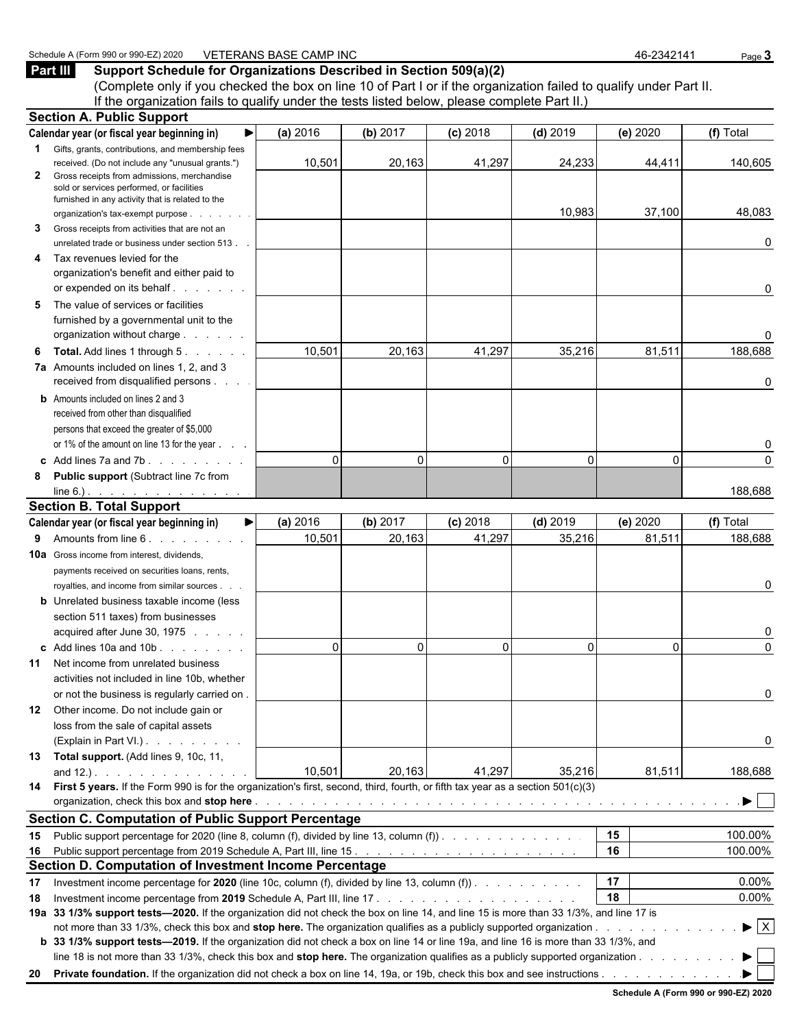#### **Part III Support Schedule for Organizations Described in Section 509(a)(2)**

(Complete only if you checked the box on line 10 of Part I or if the organization failed to qualify under Part II. If the organization fails to qualify under the tests listed below, please complete Part II.)

|              | <b>Section A. Public Support</b>                                                                                                       |          |          |            |            |          |                                |
|--------------|----------------------------------------------------------------------------------------------------------------------------------------|----------|----------|------------|------------|----------|--------------------------------|
|              | Calendar year (or fiscal year beginning in)<br>▶                                                                                       | (a) 2016 | (b) 2017 | $(c)$ 2018 | $(d)$ 2019 | (e) 2020 | (f) Total                      |
|              | <b>1</b> Gifts, grants, contributions, and membership fees                                                                             |          |          |            |            |          |                                |
|              | received. (Do not include any "unusual grants.")                                                                                       | 10,501   | 20,163   | 41,297     | 24,233     | 44,411   | 140,605                        |
| $\mathbf{2}$ | Gross receipts from admissions, merchandise<br>sold or services performed, or facilities                                               |          |          |            |            |          |                                |
|              | furnished in any activity that is related to the                                                                                       |          |          |            |            |          |                                |
|              | organization's tax-exempt purpose                                                                                                      |          |          |            | 10,983     | 37,100   | 48,083                         |
| 3            | Gross receipts from activities that are not an                                                                                         |          |          |            |            |          |                                |
|              | unrelated trade or business under section 513.                                                                                         |          |          |            |            |          | 0                              |
| 4            | Tax revenues levied for the                                                                                                            |          |          |            |            |          |                                |
|              | organization's benefit and either paid to                                                                                              |          |          |            |            |          |                                |
|              | or expended on its behalf                                                                                                              |          |          |            |            |          | 0                              |
| 5            | The value of services or facilities                                                                                                    |          |          |            |            |          |                                |
|              | furnished by a governmental unit to the                                                                                                |          |          |            |            |          |                                |
|              | organization without charge                                                                                                            |          |          |            |            |          | 0                              |
| 6            | <b>Total.</b> Add lines 1 through 5.                                                                                                   | 10,501   | 20,163   | 41,297     | 35,216     | 81,511   | 188,688                        |
|              | 7a Amounts included on lines 1, 2, and 3                                                                                               |          |          |            |            |          |                                |
|              | received from disqualified persons                                                                                                     |          |          |            |            |          | 0                              |
|              | <b>b</b> Amounts included on lines 2 and 3                                                                                             |          |          |            |            |          |                                |
|              | received from other than disqualified                                                                                                  |          |          |            |            |          |                                |
|              | persons that exceed the greater of \$5,000                                                                                             |          |          |            |            |          |                                |
|              | or 1% of the amount on line 13 for the year                                                                                            |          |          |            |            |          | 0                              |
|              | c Add lines $7a$ and $7b$ .                                                                                                            | $\Omega$ | $\Omega$ | $\Omega$   | $\Omega$   | $\Omega$ | $\Omega$                       |
| 8            | <b>Public support (Subtract line 7c from</b>                                                                                           |          |          |            |            |          |                                |
|              | $line 6.)$ . <u>.</u><br><b>Section B. Total Support</b>                                                                               |          |          |            |            |          | 188,688                        |
|              | Calendar year (or fiscal year beginning in)<br>▶∣                                                                                      | (a) 2016 | (b) 2017 | $(c)$ 2018 | $(d)$ 2019 | (e) 2020 | (f) Total                      |
| 9            | Amounts from line 6. Amounts from line 6.                                                                                              | 10,501   | 20,163   | 41,297     | 35,216     | 81,511   | 188,688                        |
|              | <b>10a</b> Gross income from interest, dividends,                                                                                      |          |          |            |            |          |                                |
|              | payments received on securities loans, rents,                                                                                          |          |          |            |            |          |                                |
|              | royalties, and income from similar sources.                                                                                            |          |          |            |            |          | 0                              |
|              | <b>b</b> Unrelated business taxable income (less                                                                                       |          |          |            |            |          |                                |
|              | section 511 taxes) from businesses                                                                                                     |          |          |            |            |          |                                |
|              | acquired after June 30, 1975                                                                                                           |          |          |            |            |          | 0                              |
|              | c Add lines 10a and 10b                                                                                                                | $\Omega$ | 0        | $\Omega$   | $\Omega$   | $\Omega$ | 0                              |
| 11           | Net income from unrelated business                                                                                                     |          |          |            |            |          |                                |
|              | activities not included in line 10b, whether                                                                                           |          |          |            |            |          |                                |
|              | or not the business is regularly carried on.                                                                                           |          |          |            |            |          |                                |
| 12           | Other income. Do not include gain or                                                                                                   |          |          |            |            |          |                                |
|              | loss from the sale of capital assets                                                                                                   |          |          |            |            |          |                                |
|              | (Explain in Part VI.)                                                                                                                  |          |          |            |            |          | 0                              |
|              | 13 Total support. (Add lines 9, 10c, 11,                                                                                               |          |          |            |            |          |                                |
|              | and $12.$ ). $\ldots$ $\ldots$ $\ldots$ $\ldots$                                                                                       | 10,501   | 20,163   | 41,297     | 35,216     | 81,511   | 188,688                        |
|              | 14 First 5 years. If the Form 990 is for the organization's first, second, third, fourth, or fifth tax year as a section 501(c)(3)     |          |          |            |            |          |                                |
|              |                                                                                                                                        |          |          |            |            |          | $\blacktriangleright$ 1        |
|              | <b>Section C. Computation of Public Support Percentage</b>                                                                             |          |          |            |            |          |                                |
| 15           | Public support percentage for 2020 (line 8, column (f), divided by line 13, column (f)).                                               |          |          |            |            | 15       | 100.00%                        |
| 16           |                                                                                                                                        |          |          |            |            | 16       | 100.00%                        |
|              | Section D. Computation of Investment Income Percentage                                                                                 |          |          |            |            |          |                                |
| 17           | Investment income percentage for 2020 (line 10c, column (f), divided by line 13, column (f)).                                          |          |          |            |            | 17       | 0.00%                          |
| 18           |                                                                                                                                        |          |          |            |            | 18       | 0.00%                          |
|              | 19a 33 1/3% support tests-2020. If the organization did not check the box on line 14, and line 15 is more than 33 1/3%, and line 17 is |          |          |            |            |          | $\blacktriangleright$ $\mid$ X |
|              | b 33 1/3% support tests—2019. If the organization did not check a box on line 14 or line 19a, and line 16 is more than 33 1/3%, and    |          |          |            |            |          |                                |
|              | line 18 is not more than 33 1/3%, check this box and stop here. The organization qualifies as a publicly supported organization        |          |          |            |            |          | $\blacktriangleright$          |
|              |                                                                                                                                        |          |          |            |            |          |                                |
|              |                                                                                                                                        |          |          |            |            |          |                                |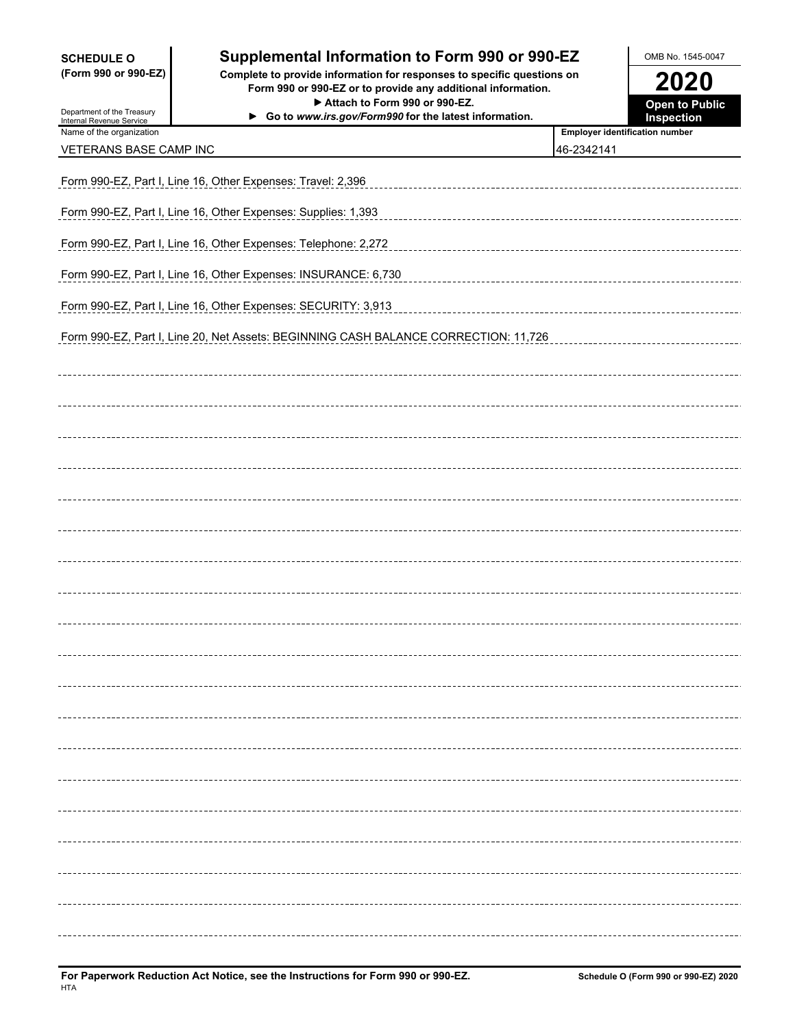| <b>SCHEDULE O</b> |  |                      |
|-------------------|--|----------------------|
|                   |  | (Form 990 or 990-EZ) |

 $\overline{a}$ 

### **Supplemental Information to Form 990 or 990-EZ** OMB No. 1545-0047

**(Form 990 or 990-EZ) Complete to provide information for responses to specific questions on Form 990 or 990-EZ or to provide any additional information. 2020** ▶ Attach to Form 990 or 990-EZ.

| Department of the Treasury<br>Internal Revenue Service | Go to www.irs.gov/Form990 for the latest information.                               |                                       | Inspection       |
|--------------------------------------------------------|-------------------------------------------------------------------------------------|---------------------------------------|------------------|
| Name of the organization                               |                                                                                     | <b>Employer identification number</b> |                  |
| VETERANS BASE CAMP INC                                 |                                                                                     | 46-2342141                            |                  |
|                                                        |                                                                                     |                                       |                  |
|                                                        | Form 990-EZ, Part I, Line 16, Other Expenses: Travel: 2,396                         |                                       |                  |
|                                                        | Form 990-EZ, Part I, Line 16, Other Expenses: Supplies: 1,393                       |                                       |                  |
|                                                        | Form 990-EZ, Part I, Line 16, Other Expenses: Telephone: 2,272                      |                                       |                  |
|                                                        | Form 990-EZ, Part I, Line 16, Other Expenses: INSURANCE: 6,730                      |                                       |                  |
|                                                        | Form 990-EZ, Part I, Line 16, Other Expenses: SECURITY: 3,913                       |                                       |                  |
|                                                        | Form 990-EZ, Part I, Line 20, Net Assets: BEGINNING CASH BALANCE CORRECTION: 11,726 |                                       |                  |
|                                                        |                                                                                     |                                       |                  |
|                                                        |                                                                                     |                                       |                  |
|                                                        |                                                                                     |                                       |                  |
|                                                        |                                                                                     |                                       |                  |
|                                                        |                                                                                     |                                       |                  |
|                                                        |                                                                                     |                                       |                  |
|                                                        |                                                                                     |                                       |                  |
|                                                        |                                                                                     |                                       |                  |
|                                                        |                                                                                     |                                       |                  |
|                                                        |                                                                                     |                                       |                  |
|                                                        |                                                                                     |                                       |                  |
|                                                        |                                                                                     |                                       |                  |
|                                                        |                                                                                     |                                       |                  |
|                                                        |                                                                                     |                                       |                  |
|                                                        |                                                                                     |                                       |                  |
|                                                        |                                                                                     |                                       |                  |
|                                                        |                                                                                     |                                       |                  |
|                                                        |                                                                                     |                                       |                  |
|                                                        |                                                                                     |                                       |                  |
|                                                        |                                                                                     |                                       | ---------------- |
|                                                        |                                                                                     |                                       |                  |